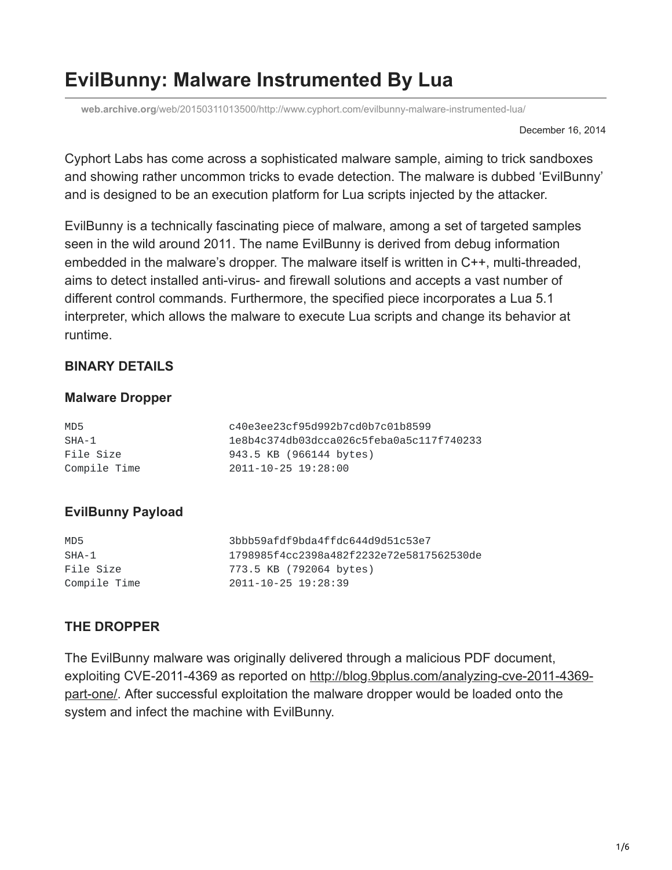# **EvilBunny: Malware Instrumented By Lua**

**web.archive.org**[/web/20150311013500/http://www.cyphort.com/evilbunny-malware-instrumented-lua/](https://web.archive.org/web/20150311013500/http://www.cyphort.com/evilbunny-malware-instrumented-lua/)

December 16, 2014

Cyphort Labs has come across a sophisticated malware sample, aiming to trick sandboxes and showing rather uncommon tricks to evade detection. The malware is dubbed 'EvilBunny' and is designed to be an execution platform for Lua scripts injected by the attacker.

EvilBunny is a technically fascinating piece of malware, among a set of targeted samples seen in the wild around 2011. The name EvilBunny is derived from debug information embedded in the malware's dropper. The malware itself is written in C++, multi-threaded, aims to detect installed anti-virus- and firewall solutions and accepts a vast number of different control commands. Furthermore, the specified piece incorporates a Lua 5.1 interpreter, which allows the malware to execute Lua scripts and change its behavior at runtime.

### **BINARY DETAILS**

#### **Malware Dropper**

| MD5          | c40e3ee23cf95d992b7cd0b7c01b8599         |
|--------------|------------------------------------------|
| SHA-1        | 1e8b4c374db03dcca026c5feba0a5c117f740233 |
| File Size    | 943.5 KB (966144 bytes)                  |
| Compile Time | 2011-10-25 19:28:00                      |

## **EvilBunny Payload**

| MD5          | 3bbb59afdf9bda4ffdc644d9d51c53e7         |
|--------------|------------------------------------------|
| SHA-1        | 1798985f4cc2398a482f2232e72e5817562530de |
| File Size    | 773.5 KB (792064 bytes)                  |
| Compile Time | 2011-10-25 19:28:39                      |

#### **THE DROPPER**

The EvilBunny malware was originally delivered through a malicious PDF document, [exploiting CVE-2011-4369 as reported on http://blog.9bplus.com/analyzing-cve-2011-4369](https://web.archive.org/web/20150311013500/http://blog.9bplus.com/analyzing-cve-2011-4369-part-one/) part-one. After successful exploitation the malware dropper would be loaded onto the system and infect the machine with EvilBunny.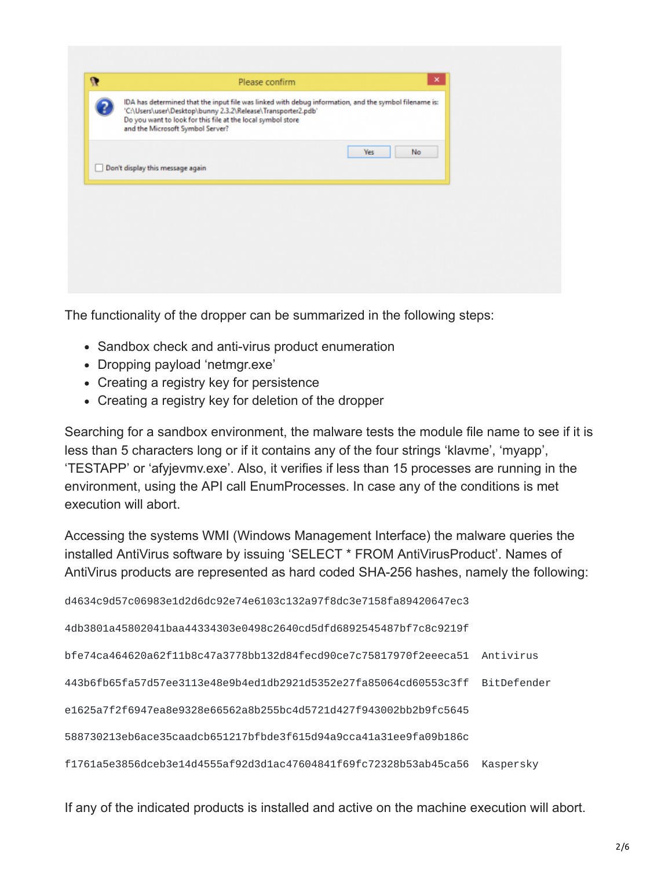| $\mathbf{r}$ | ×<br>Please confirm                                                                                                                                                                                                                                                      |  |
|--------------|--------------------------------------------------------------------------------------------------------------------------------------------------------------------------------------------------------------------------------------------------------------------------|--|
|              | IDA has determined that the input file was linked with debug information, and the symbol filename is:<br>'C:\Users\user\Desktop\bunny 2.3.2\Release\Transporter2.pdb'<br>Do you want to look for this file at the local symbol store<br>and the Microsoft Symbol Server? |  |
|              | No<br>Yes<br>Don't display this message again                                                                                                                                                                                                                            |  |
|              |                                                                                                                                                                                                                                                                          |  |
|              |                                                                                                                                                                                                                                                                          |  |

The functionality of the dropper can be summarized in the following steps:

- Sandbox check and anti-virus product enumeration
- Dropping payload 'netmgr.exe'
- Creating a registry key for persistence
- Creating a registry key for deletion of the dropper

Searching for a sandbox environment, the malware tests the module file name to see if it is less than 5 characters long or if it contains any of the four strings 'klavme', 'myapp', 'TESTAPP' or 'afyjevmv.exe'. Also, it verifies if less than 15 processes are running in the environment, using the API call EnumProcesses. In case any of the conditions is met execution will abort.

Accessing the systems WMI (Windows Management Interface) the malware queries the installed AntiVirus software by issuing 'SELECT \* FROM AntiVirusProduct'. Names of AntiVirus products are represented as hard coded SHA-256 hashes, namely the following:

d4634c9d57c06983e1d2d6dc92e74e6103c132a97f8dc3e7158fa89420647ec3

4db3801a45802041baa44334303e0498c2640cd5dfd6892545487bf7c8c9219f

bfe74ca464620a62f11b8c47a3778bb132d84fecd90ce7c75817970f2eeeca51 Antivirus

443b6fb65fa57d57ee3113e48e9b4ed1db2921d5352e27fa85064cd60553c3ff BitDefender

e1625a7f2f6947ea8e9328e66562a8b255bc4d5721d427f943002bb2b9fc5645

588730213eb6ace35caadcb651217bfbde3f615d94a9cca41a31ee9fa09b186c

f1761a5e3856dceb3e14d4555af92d3d1ac47604841f69fc72328b53ab45ca56 Kaspersky

If any of the indicated products is installed and active on the machine execution will abort.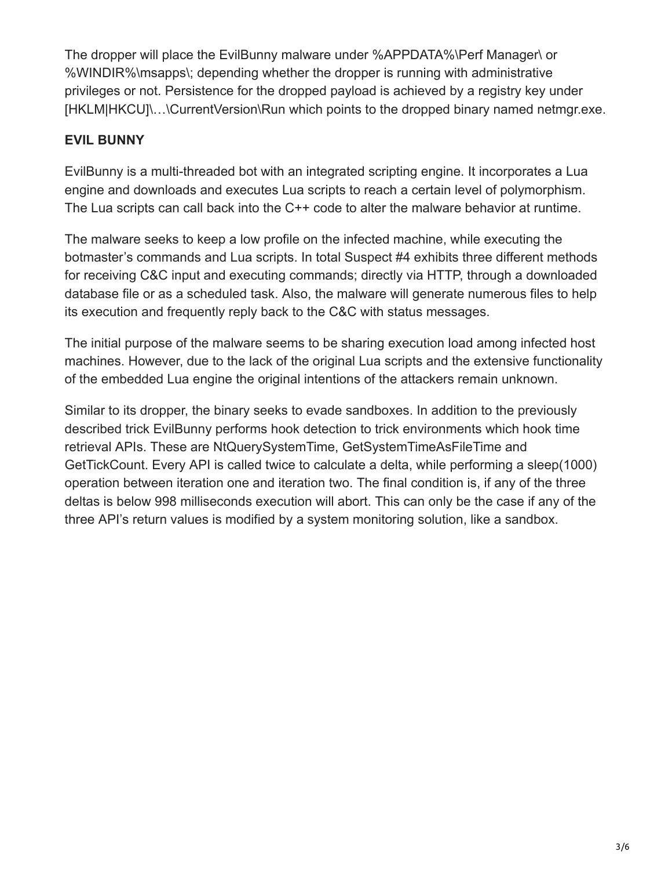The dropper will place the EvilBunny malware under %APPDATA%\Perf Manager\ or %WINDIR%\msapps\; depending whether the dropper is running with administrative privileges or not. Persistence for the dropped payload is achieved by a registry key under [HKLM|HKCU]\…\CurrentVersion\Run which points to the dropped binary named netmgr.exe.

## **EVIL BUNNY**

EvilBunny is a multi-threaded bot with an integrated scripting engine. It incorporates a Lua engine and downloads and executes Lua scripts to reach a certain level of polymorphism. The Lua scripts can call back into the C++ code to alter the malware behavior at runtime.

The malware seeks to keep a low profile on the infected machine, while executing the botmaster's commands and Lua scripts. In total Suspect #4 exhibits three different methods for receiving C&C input and executing commands; directly via HTTP, through a downloaded database file or as a scheduled task. Also, the malware will generate numerous files to help its execution and frequently reply back to the C&C with status messages.

The initial purpose of the malware seems to be sharing execution load among infected host machines. However, due to the lack of the original Lua scripts and the extensive functionality of the embedded Lua engine the original intentions of the attackers remain unknown.

Similar to its dropper, the binary seeks to evade sandboxes. In addition to the previously described trick EvilBunny performs hook detection to trick environments which hook time retrieval APIs. These are NtQuerySystemTime, GetSystemTimeAsFileTime and GetTickCount. Every API is called twice to calculate a delta, while performing a sleep(1000) operation between iteration one and iteration two. The final condition is, if any of the three deltas is below 998 milliseconds execution will abort. This can only be the case if any of the three API's return values is modified by a system monitoring solution, like a sandbox.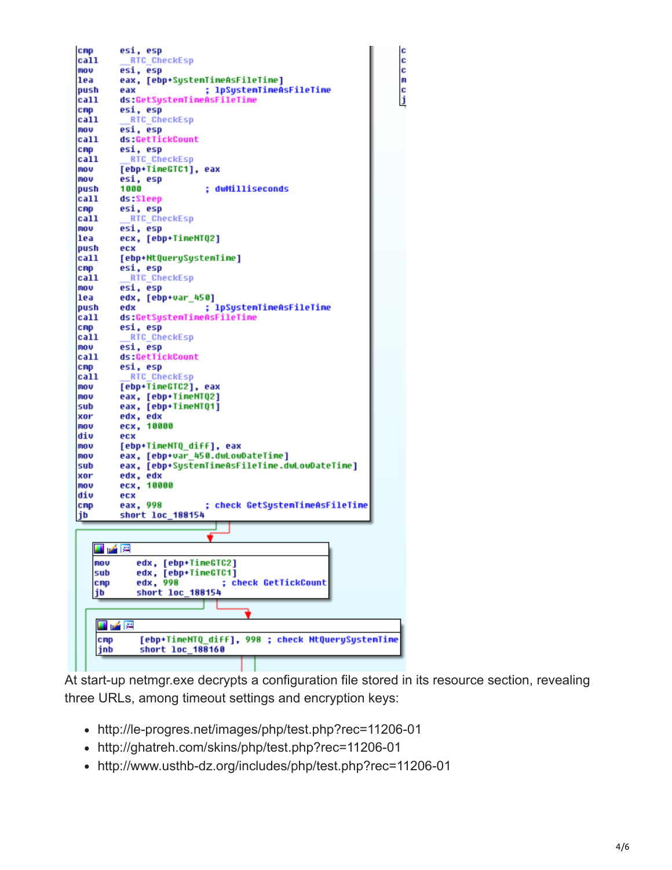

At start-up netmgr.exe decrypts a configuration file stored in its resource section, revealing three URLs, among timeout settings and encryption keys:

c

c

c

m

 $\frac{c}{j}$ 

- http://le-progres.net/images/php/test.php?rec=11206-01
- http://ghatreh.com/skins/php/test.php?rec=11206-01
- http://www.usthb-dz.org/includes/php/test.php?rec=11206-01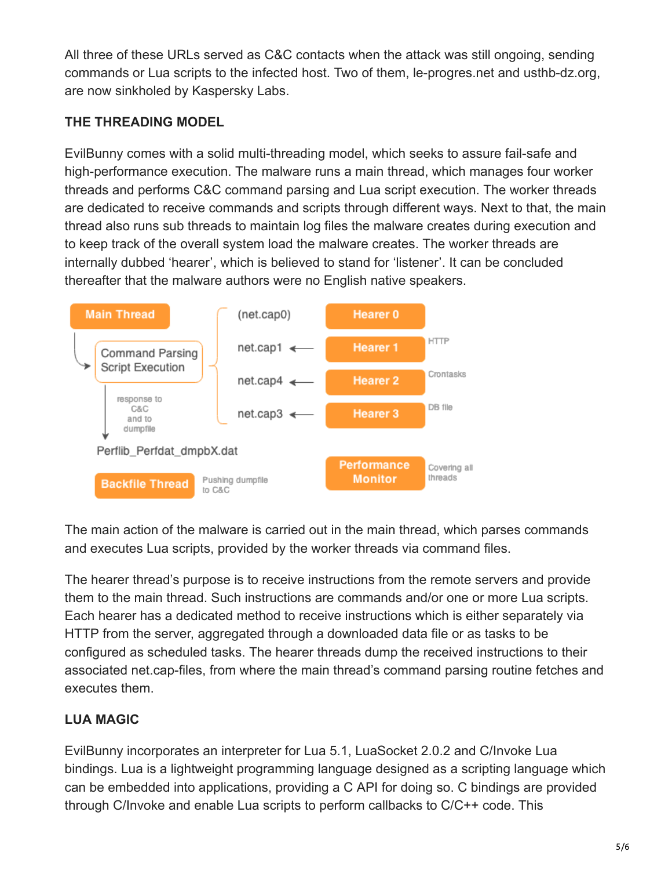All three of these URLs served as C&C contacts when the attack was still ongoing, sending commands or Lua scripts to the infected host. Two of them, le-progres.net and usthb-dz.org, are now sinkholed by Kaspersky Labs.

## **THE THREADING MODEL**

EvilBunny comes with a solid multi-threading model, which seeks to assure fail-safe and high-performance execution. The malware runs a main thread, which manages four worker threads and performs C&C command parsing and Lua script execution. The worker threads are dedicated to receive commands and scripts through different ways. Next to that, the main thread also runs sub threads to maintain log files the malware creates during execution and to keep track of the overall system load the malware creates. The worker threads are internally dubbed 'hearer', which is believed to stand for 'listener'. It can be concluded thereafter that the malware authors were no English native speakers.



The main action of the malware is carried out in the main thread, which parses commands and executes Lua scripts, provided by the worker threads via command files.

The hearer thread's purpose is to receive instructions from the remote servers and provide them to the main thread. Such instructions are commands and/or one or more Lua scripts. Each hearer has a dedicated method to receive instructions which is either separately via HTTP from the server, aggregated through a downloaded data file or as tasks to be configured as scheduled tasks. The hearer threads dump the received instructions to their associated net.cap-files, from where the main thread's command parsing routine fetches and executes them.

## **LUA MAGIC**

EvilBunny incorporates an interpreter for Lua 5.1, LuaSocket 2.0.2 and C/Invoke Lua bindings. Lua is a lightweight programming language designed as a scripting language which can be embedded into applications, providing a C API for doing so. C bindings are provided through C/Invoke and enable Lua scripts to perform callbacks to C/C++ code. This